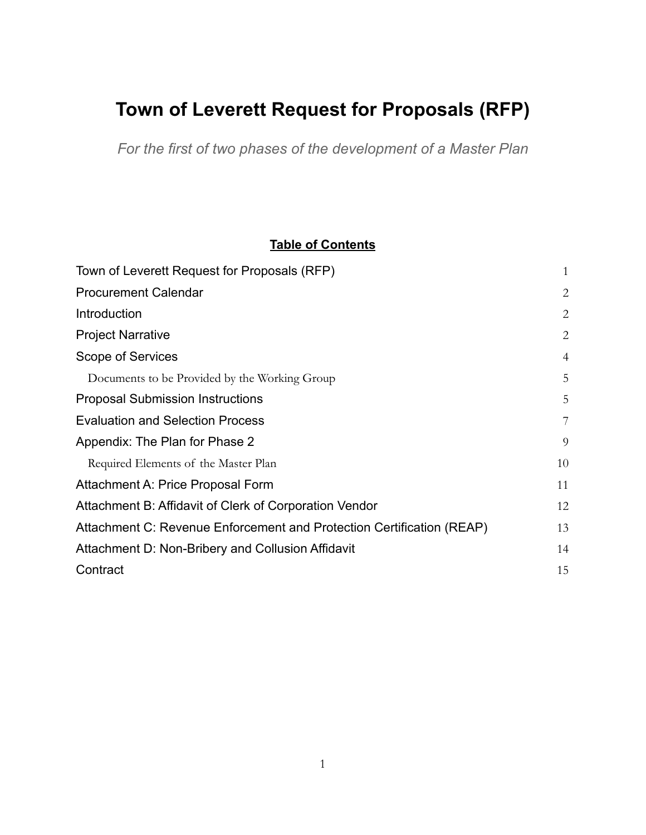# <span id="page-0-0"></span>**Town of Leverett Request for Proposals (RFP)**

*For the first of two phases of the development of a Master Plan*

# **Table of Contents**

| Town of Leverett Request for Proposals (RFP)                          | $\mathbf{1}$   |
|-----------------------------------------------------------------------|----------------|
| <b>Procurement Calendar</b>                                           | $\overline{2}$ |
| Introduction                                                          | $\overline{2}$ |
| <b>Project Narrative</b>                                              | $\overline{2}$ |
| Scope of Services                                                     | $\overline{4}$ |
| Documents to be Provided by the Working Group                         | 5              |
| <b>Proposal Submission Instructions</b>                               | 5              |
| <b>Evaluation and Selection Process</b>                               | 7              |
| Appendix: The Plan for Phase 2                                        | 9              |
| Required Elements of the Master Plan                                  | 10             |
| Attachment A: Price Proposal Form                                     | 11             |
| Attachment B: Affidavit of Clerk of Corporation Vendor                | 12             |
| Attachment C: Revenue Enforcement and Protection Certification (REAP) | 13             |
| Attachment D: Non-Bribery and Collusion Affidavit                     | 14             |
| Contract                                                              | 15             |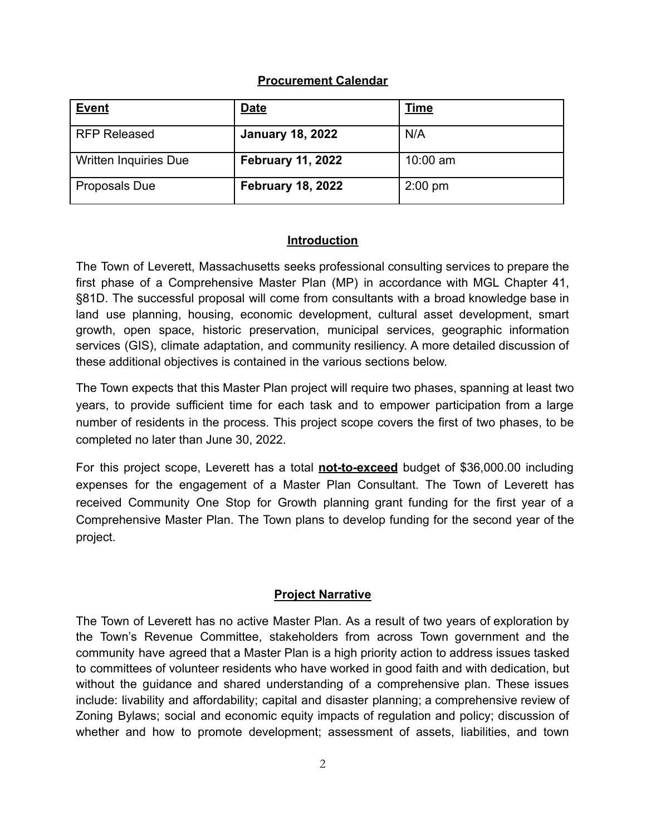## **Procurement Calendar**

<span id="page-1-0"></span>

| <b>Event</b>                 | <b>Date</b>              | <u>Time</u> |
|------------------------------|--------------------------|-------------|
| <b>RFP Released</b>          | <b>January 18, 2022</b>  | N/A         |
| <b>Written Inquiries Due</b> | <b>February 11, 2022</b> | $10:00$ am  |
| <b>Proposals Due</b>         | <b>February 18, 2022</b> | $2:00$ pm   |

## **Introduction**

<span id="page-1-1"></span>The Town of Leverett, Massachusetts seeks professional consulting services to prepare the first phase of a Comprehensive Master Plan (MP) in accordance with MGL Chapter 41, §81D. The successful proposal will come from consultants with a broad knowledge base in land use planning, housing, economic development, cultural asset development, smart growth, open space, historic preservation, municipal services, geographic information services (GIS), climate adaptation, and community resiliency. A more detailed discussion of these additional objectives is contained in the various sections below.

The Town expects that this Master Plan project will require two phases, spanning at least two years, to provide sufficient time for each task and to empower participation from a large number of residents in the process. This project scope covers the first of two phases, to be completed no later than June 30, 2022.

For this project scope, Leverett has a total **not-to-exceed** budget of \$36,000.00 including expenses for the engagement of a Master Plan Consultant. The Town of Leverett has received Community One Stop for Growth planning grant funding for the first year of a Comprehensive Master Plan. The Town plans to develop funding for the second year of the project.

## **Project Narrative**

<span id="page-1-2"></span>The Town of Leverett has no active Master Plan. As a result of two years of exploration by the Town's Revenue Committee, stakeholders from across Town government and the community have agreed that a Master Plan is a high priority action to address issues tasked to committees of volunteer residents who have worked in good faith and with dedication, but without the guidance and shared understanding of a comprehensive plan. These issues include: livability and affordability; capital and disaster planning; a comprehensive review of Zoning Bylaws; social and economic equity impacts of regulation and policy; discussion of whether and how to promote development; assessment of assets, liabilities, and town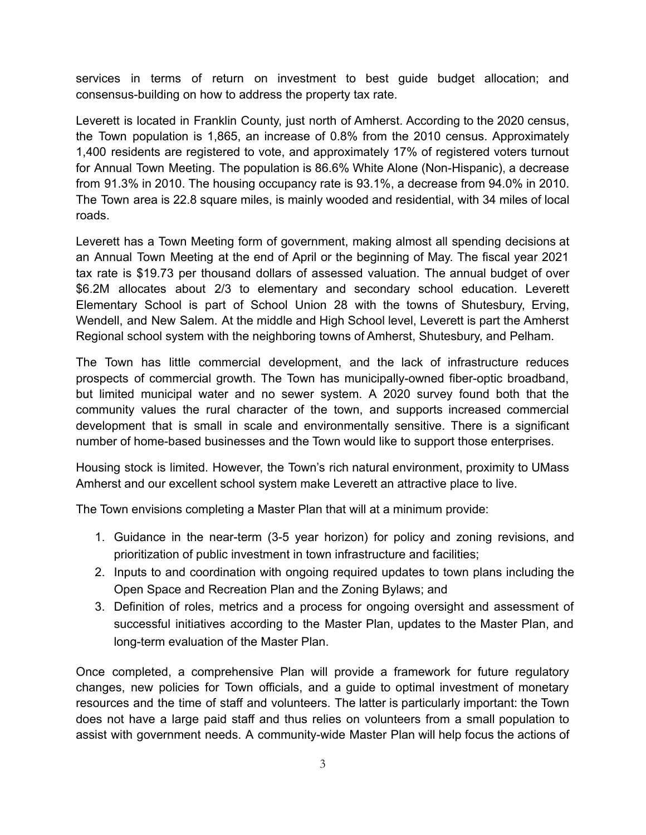services in terms of return on investment to best guide budget allocation; and consensus-building on how to address the property tax rate.

Leverett is located in Franklin County, just north of Amherst. According to the 2020 census, the Town population is 1,865, an increase of 0.8% from the 2010 census. Approximately 1,400 residents are registered to vote, and approximately 17% of registered voters turnout for Annual Town Meeting. The population is 86.6% White Alone (Non-Hispanic), a decrease from 91.3% in 2010. The housing occupancy rate is 93.1%, a decrease from 94.0% in 2010. The Town area is 22.8 square miles, is mainly wooded and residential, with 34 miles of local roads.

Leverett has a Town Meeting form of government, making almost all spending decisions at an Annual Town Meeting at the end of April or the beginning of May. The fiscal year 2021 tax rate is \$19.73 per thousand dollars of assessed valuation. The annual budget of over \$6.2M allocates about 2/3 to elementary and secondary school education. Leverett Elementary School is part of School Union 28 with the towns of Shutesbury, Erving, Wendell, and New Salem. At the middle and High School level, Leverett is part the Amherst Regional school system with the neighboring towns of Amherst, Shutesbury, and Pelham.

The Town has little commercial development, and the lack of infrastructure reduces prospects of commercial growth. The Town has municipally-owned fiber-optic broadband, but limited municipal water and no sewer system. A 2020 survey found both that the community values the rural character of the town, and supports increased commercial development that is small in scale and environmentally sensitive. There is a significant number of home-based businesses and the Town would like to support those enterprises.

Housing stock is limited. However, the Town's rich natural environment, proximity to UMass Amherst and our excellent school system make Leverett an attractive place to live.

The Town envisions completing a Master Plan that will at a minimum provide:

- 1. Guidance in the near-term (3-5 year horizon) for policy and zoning revisions, and prioritization of public investment in town infrastructure and facilities;
- 2. Inputs to and coordination with ongoing required updates to town plans including the Open Space and Recreation Plan and the Zoning Bylaws; and
- 3. Definition of roles, metrics and a process for ongoing oversight and assessment of successful initiatives according to the Master Plan, updates to the Master Plan, and long-term evaluation of the Master Plan.

Once completed, a comprehensive Plan will provide a framework for future regulatory changes, new policies for Town officials, and a guide to optimal investment of monetary resources and the time of staff and volunteers. The latter is particularly important: the Town does not have a large paid staff and thus relies on volunteers from a small population to assist with government needs. A community-wide Master Plan will help focus the actions of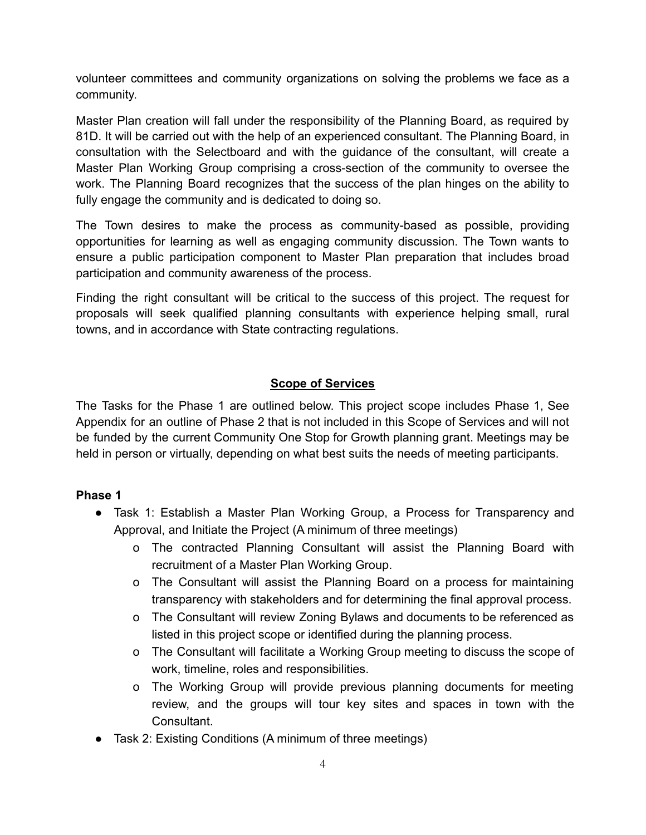volunteer committees and community organizations on solving the problems we face as a community.

Master Plan creation will fall under the responsibility of the Planning Board, as required by 81D. It will be carried out with the help of an experienced consultant. The Planning Board, in consultation with the Selectboard and with the guidance of the consultant, will create a Master Plan Working Group comprising a cross-section of the community to oversee the work. The Planning Board recognizes that the success of the plan hinges on the ability to fully engage the community and is dedicated to doing so.

The Town desires to make the process as community-based as possible, providing opportunities for learning as well as engaging community discussion. The Town wants to ensure a public participation component to Master Plan preparation that includes broad participation and community awareness of the process.

Finding the right consultant will be critical to the success of this project. The request for proposals will seek qualified planning consultants with experience helping small, rural towns, and in accordance with State contracting regulations.

#### **Scope of Services**

<span id="page-3-0"></span>The Tasks for the Phase 1 are outlined below. This project scope includes Phase 1, See Appendix for an outline of Phase 2 that is not included in this Scope of Services and will not be funded by the current Community One Stop for Growth planning grant. Meetings may be held in person or virtually, depending on what best suits the needs of meeting participants.

#### **Phase 1**

- Task 1: Establish a Master Plan Working Group, a Process for Transparency and Approval, and Initiate the Project (A minimum of three meetings)
	- o The contracted Planning Consultant will assist the Planning Board with recruitment of a Master Plan Working Group.
	- o The Consultant will assist the Planning Board on a process for maintaining transparency with stakeholders and for determining the final approval process.
	- o The Consultant will review Zoning Bylaws and documents to be referenced as listed in this project scope or identified during the planning process.
	- o The Consultant will facilitate a Working Group meeting to discuss the scope of work, timeline, roles and responsibilities.
	- o The Working Group will provide previous planning documents for meeting review, and the groups will tour key sites and spaces in town with the Consultant.
- Task 2: Existing Conditions (A minimum of three meetings)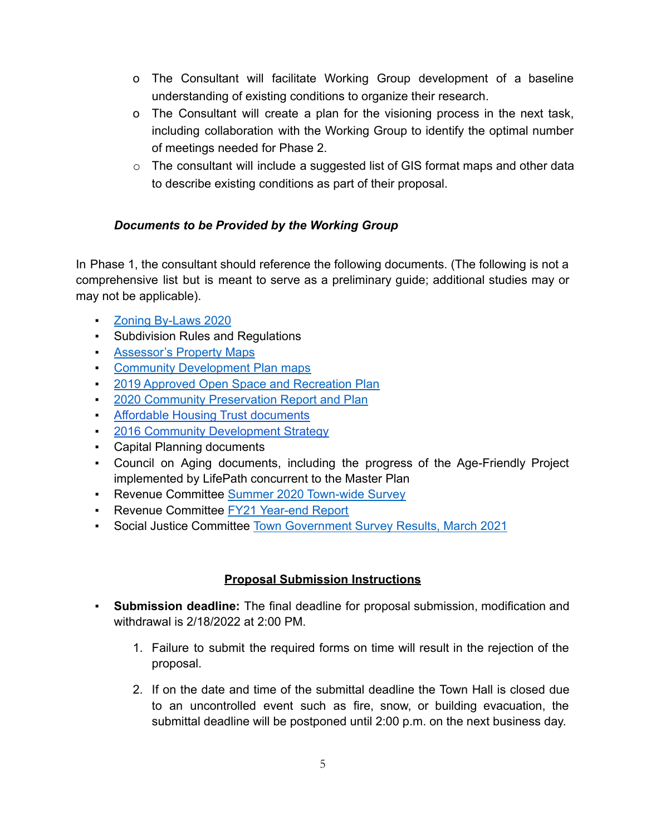- o The Consultant will facilitate Working Group development of a baseline understanding of existing conditions to organize their research.
- o The Consultant will create a plan for the visioning process in the next task, including collaboration with the Working Group to identify the optimal number of meetings needed for Phase 2.
- $\circ$  The consultant will include a suggested list of GIS format maps and other data to describe existing conditions as part of their proposal.

# <span id="page-4-0"></span>*Documents to be Provided by the Working Group*

In Phase 1, the consultant should reference the following documents. (The following is not a comprehensive list but is meant to serve as a preliminary guide; additional studies may or may not be applicable).

- Zoning [By-Laws](https://leverett.ma.us/files/Zoning_Bylaws_2020.pdf) 2020
- Subdivision Rules and Regulations
- **[Assessor's](https://leverett.ma.us/g/67/Zoning-Board-of-Appeals) Property Maps**
- **Community [Development](https://leverett.ma.us/g/67/Zoning-Board-of-Appeals) Plan maps**
- **2019 Approved Open Space and [Recreation](https://leverett.ma.us/f/0/69/) Plan**
- **2020 Community [Preservation](https://leverett.ma.us/files/Community_Preservation_Report_and_Plan_0.pdf) Report and Plan**
- **EXECUTE:** Affordable Housing Trust [documents](https://leverett.ma.us/g/70/Affordable-Housing-Trust)
- 2016 Community Development Strategy
- Capital Planning documents
- Council on Aging documents, including the progress of the Age-Friendly Project implemented by LifePath concurrent to the Master Plan
- **Revenue Committee Summer 2020 [Town-wide](https://docs.google.com/document/d/1C6bjKY4uorrzPxvmV2HAXOBcBDAgWkIcMAz0sniUfn4/edit?usp=sharing) Survey**
- **EXECTE:** Revenue Committee FY21 [Year-end](https://drive.google.com/file/d/1TV_c-zWltXSmFDq0VSZdMOSB_lhnRgJh/edit) Report
- **Social Justice Committee Town [Government](https://drive.google.com/file/d/1rEaU-dInOoEZXTXJk-VWR5uqyRE4hrlT/view) Survey Results, March 2021**

# **Proposal Submission Instructions**

- <span id="page-4-1"></span>▪ **Submission deadline:** The final deadline for proposal submission, modification and withdrawal is 2/18/2022 at 2:00 PM.
	- 1. Failure to submit the required forms on time will result in the rejection of the proposal.
	- 2. If on the date and time of the submittal deadline the Town Hall is closed due to an uncontrolled event such as fire, snow, or building evacuation, the submittal deadline will be postponed until 2:00 p.m. on the next business day.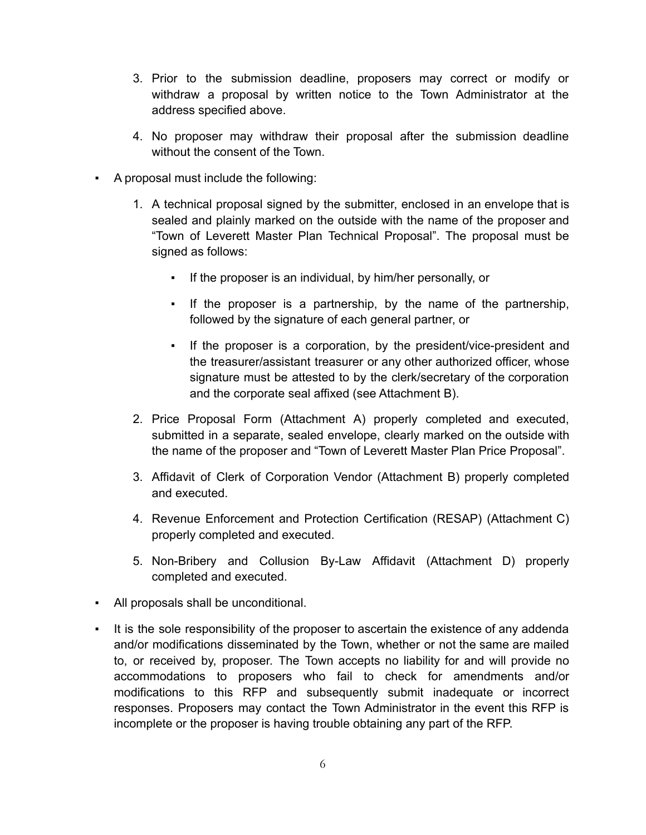- 3. Prior to the submission deadline, proposers may correct or modify or withdraw a proposal by written notice to the Town Administrator at the address specified above.
- 4. No proposer may withdraw their proposal after the submission deadline without the consent of the Town.
- A proposal must include the following:
	- 1. A technical proposal signed by the submitter, enclosed in an envelope that is sealed and plainly marked on the outside with the name of the proposer and "Town of Leverett Master Plan Technical Proposal". The proposal must be signed as follows:
		- If the proposer is an individual, by him/her personally, or
		- If the proposer is a partnership, by the name of the partnership, followed by the signature of each general partner, or
		- If the proposer is a corporation, by the president/vice-president and the treasurer/assistant treasurer or any other authorized officer, whose signature must be attested to by the clerk/secretary of the corporation and the corporate seal affixed (see Attachment B).
	- 2. Price Proposal Form (Attachment A) properly completed and executed, submitted in a separate, sealed envelope, clearly marked on the outside with the name of the proposer and "Town of Leverett Master Plan Price Proposal".
	- 3. Affidavit of Clerk of Corporation Vendor (Attachment B) properly completed and executed.
	- 4. Revenue Enforcement and Protection Certification (RESAP) (Attachment C) properly completed and executed.
	- 5. Non-Bribery and Collusion By-Law Affidavit (Attachment D) properly completed and executed.
- All proposals shall be unconditional.
- It is the sole responsibility of the proposer to ascertain the existence of any addenda and/or modifications disseminated by the Town, whether or not the same are mailed to, or received by, proposer. The Town accepts no liability for and will provide no accommodations to proposers who fail to check for amendments and/or modifications to this RFP and subsequently submit inadequate or incorrect responses. Proposers may contact the Town Administrator in the event this RFP is incomplete or the proposer is having trouble obtaining any part of the RFP.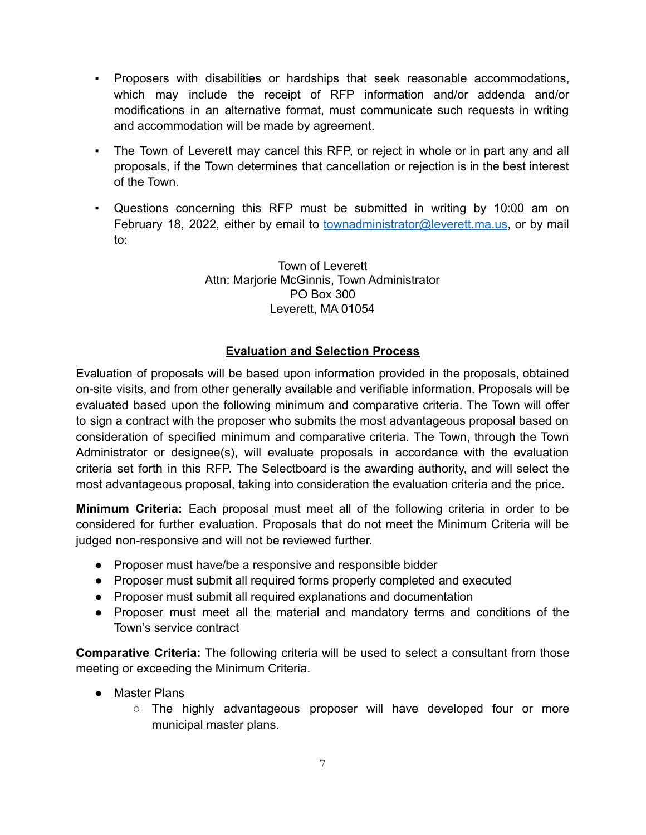- Proposers with disabilities or hardships that seek reasonable accommodations, which may include the receipt of RFP information and/or addenda and/or modifications in an alternative format, must communicate such requests in writing and accommodation will be made by agreement.
- The Town of Leverett may cancel this RFP, or reject in whole or in part any and all proposals, if the Town determines that cancellation or rejection is in the best interest of the Town.
- Questions concerning this RFP must be submitted in writing by 10:00 am on February 18, 2022, either by email to [townadministrator@leverett.ma.us](http://townadministrator@leverett.ma.us), or by mail to:

Town of Leverett Attn: Marjorie McGinnis, Town Administrator PO Box 300 Leverett, MA 01054

# **Evaluation and Selection Process**

<span id="page-6-0"></span>Evaluation of proposals will be based upon information provided in the proposals, obtained on-site visits, and from other generally available and verifiable information. Proposals will be evaluated based upon the following minimum and comparative criteria. The Town will offer to sign a contract with the proposer who submits the most advantageous proposal based on consideration of specified minimum and comparative criteria. The Town, through the Town Administrator or designee(s), will evaluate proposals in accordance with the evaluation criteria set forth in this RFP. The Selectboard is the awarding authority, and will select the most advantageous proposal, taking into consideration the evaluation criteria and the price.

**Minimum Criteria:** Each proposal must meet all of the following criteria in order to be considered for further evaluation. Proposals that do not meet the Minimum Criteria will be judged non-responsive and will not be reviewed further.

- Proposer must have/be a responsive and responsible bidder
- Proposer must submit all required forms properly completed and executed
- Proposer must submit all required explanations and documentation
- Proposer must meet all the material and mandatory terms and conditions of the Town's service contract

**Comparative Criteria:** The following criteria will be used to select a consultant from those meeting or exceeding the Minimum Criteria.

- Master Plans
	- The highly advantageous proposer will have developed four or more municipal master plans.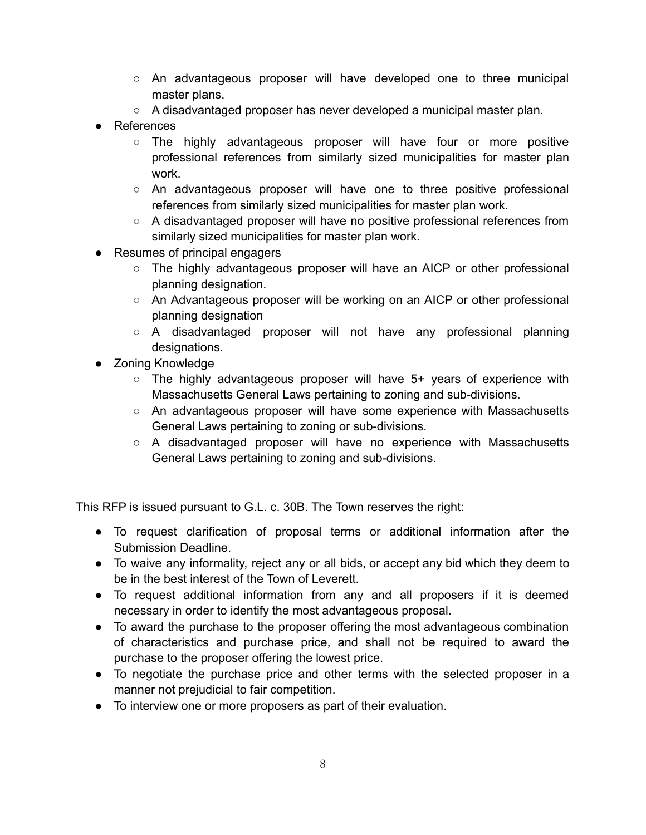- An advantageous proposer will have developed one to three municipal master plans.
- A disadvantaged proposer has never developed a municipal master plan.
- References
	- The highly advantageous proposer will have four or more positive professional references from similarly sized municipalities for master plan work.
	- An advantageous proposer will have one to three positive professional references from similarly sized municipalities for master plan work.
	- A disadvantaged proposer will have no positive professional references from similarly sized municipalities for master plan work.
- Resumes of principal engagers
	- The highly advantageous proposer will have an AICP or other professional planning designation.
	- An Advantageous proposer will be working on an AICP or other professional planning designation
	- A disadvantaged proposer will not have any professional planning designations.
- Zoning Knowledge
	- $\circ$  The highly advantageous proposer will have 5+ years of experience with Massachusetts General Laws pertaining to zoning and sub-divisions.
	- An advantageous proposer will have some experience with Massachusetts General Laws pertaining to zoning or sub-divisions.
	- $\circ$  A disadvantaged proposer will have no experience with Massachusetts General Laws pertaining to zoning and sub-divisions.

This RFP is issued pursuant to G.L. c. 30B. The Town reserves the right:

- To request clarification of proposal terms or additional information after the Submission Deadline.
- To waive any informality, reject any or all bids, or accept any bid which they deem to be in the best interest of the Town of Leverett.
- To request additional information from any and all proposers if it is deemed necessary in order to identify the most advantageous proposal.
- To award the purchase to the proposer offering the most advantageous combination of characteristics and purchase price, and shall not be required to award the purchase to the proposer offering the lowest price.
- To negotiate the purchase price and other terms with the selected proposer in a manner not prejudicial to fair competition.
- To interview one or more proposers as part of their evaluation.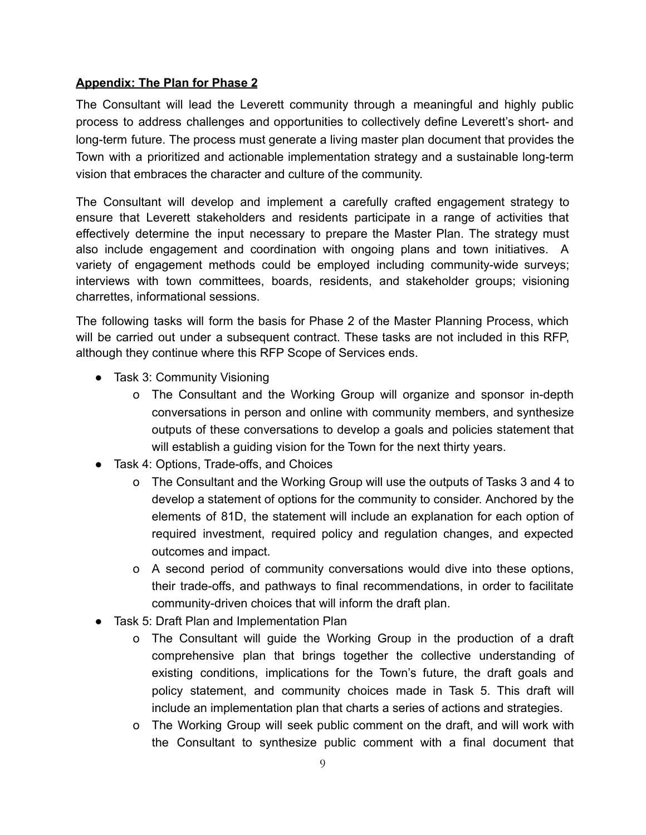#### <span id="page-8-0"></span>**Appendix: The Plan for Phase 2**

The Consultant will lead the Leverett community through a meaningful and highly public process to address challenges and opportunities to collectively define Leverett's short- and long-term future. The process must generate a living master plan document that provides the Town with a prioritized and actionable implementation strategy and a sustainable long-term vision that embraces the character and culture of the community.

The Consultant will develop and implement a carefully crafted engagement strategy to ensure that Leverett stakeholders and residents participate in a range of activities that effectively determine the input necessary to prepare the Master Plan. The strategy must also include engagement and coordination with ongoing plans and town initiatives. A variety of engagement methods could be employed including community-wide surveys; interviews with town committees, boards, residents, and stakeholder groups; visioning charrettes, informational sessions.

The following tasks will form the basis for Phase 2 of the Master Planning Process, which will be carried out under a subsequent contract. These tasks are not included in this RFP, although they continue where this RFP Scope of Services ends.

- Task 3: Community Visioning
	- o The Consultant and the Working Group will organize and sponsor in-depth conversations in person and online with community members, and synthesize outputs of these conversations to develop a goals and policies statement that will establish a guiding vision for the Town for the next thirty years.
- Task 4: Options, Trade-offs, and Choices
	- o The Consultant and the Working Group will use the outputs of Tasks 3 and 4 to develop a statement of options for the community to consider. Anchored by the elements of 81D, the statement will include an explanation for each option of required investment, required policy and regulation changes, and expected outcomes and impact.
	- o A second period of community conversations would dive into these options, their trade-offs, and pathways to final recommendations, in order to facilitate community-driven choices that will inform the draft plan.
- Task 5: Draft Plan and Implementation Plan
	- o The Consultant will guide the Working Group in the production of a draft comprehensive plan that brings together the collective understanding of existing conditions, implications for the Town's future, the draft goals and policy statement, and community choices made in Task 5. This draft will include an implementation plan that charts a series of actions and strategies.
	- o The Working Group will seek public comment on the draft, and will work with the Consultant to synthesize public comment with a final document that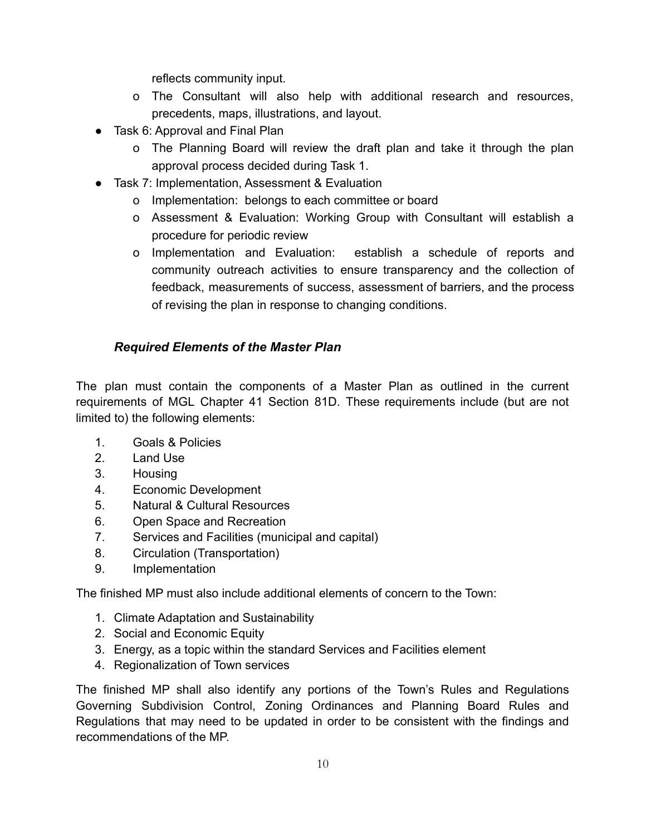reflects community input.

- o The Consultant will also help with additional research and resources, precedents, maps, illustrations, and layout.
- Task 6: Approval and Final Plan
	- o The Planning Board will review the draft plan and take it through the plan approval process decided during Task 1.
- Task 7: Implementation, Assessment & Evaluation
	- o Implementation: belongs to each committee or board
	- o Assessment & Evaluation: Working Group with Consultant will establish a procedure for periodic review
	- o Implementation and Evaluation: establish a schedule of reports and community outreach activities to ensure transparency and the collection of feedback, measurements of success, assessment of barriers, and the process of revising the plan in response to changing conditions.

# <span id="page-9-0"></span>*Required Elements of the Master Plan*

The plan must contain the components of a Master Plan as outlined in the current requirements of MGL Chapter 41 Section 81D. These requirements include (but are not limited to) the following elements:

- 1. Goals & Policies
- 2. Land Use
- 3. Housing
- 4. Economic Development
- 5. Natural & Cultural Resources
- 6. Open Space and Recreation
- 7. Services and Facilities (municipal and capital)
- 8. Circulation (Transportation)
- 9. Implementation

The finished MP must also include additional elements of concern to the Town:

- 1. Climate Adaptation and Sustainability
- 2. Social and Economic Equity
- 3. Energy, as a topic within the standard Services and Facilities element
- 4. Regionalization of Town services

The finished MP shall also identify any portions of the Town's Rules and Regulations Governing Subdivision Control, Zoning Ordinances and Planning Board Rules and Regulations that may need to be updated in order to be consistent with the findings and recommendations of the MP.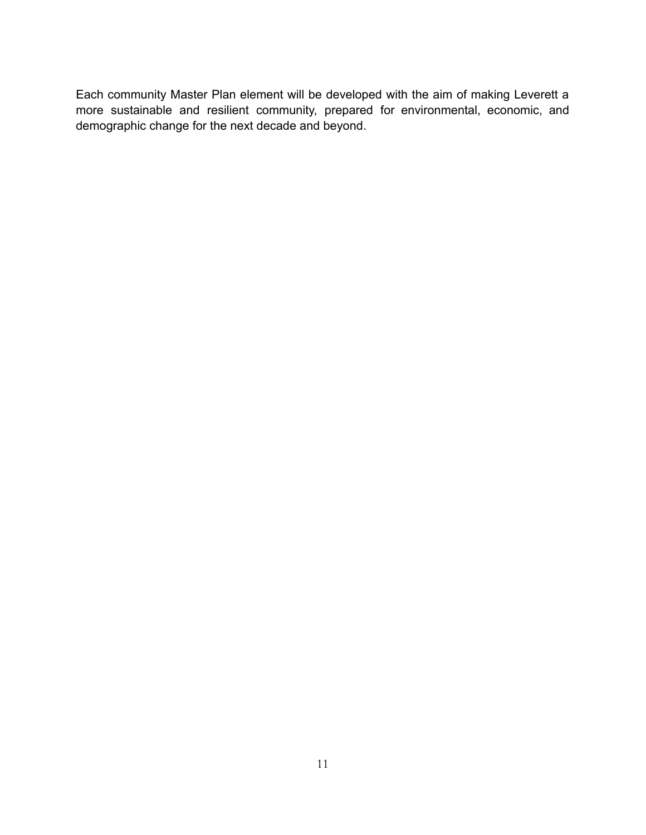Each community Master Plan element will be developed with the aim of making Leverett a more sustainable and resilient community, prepared for environmental, economic, and demographic change for the next decade and beyond.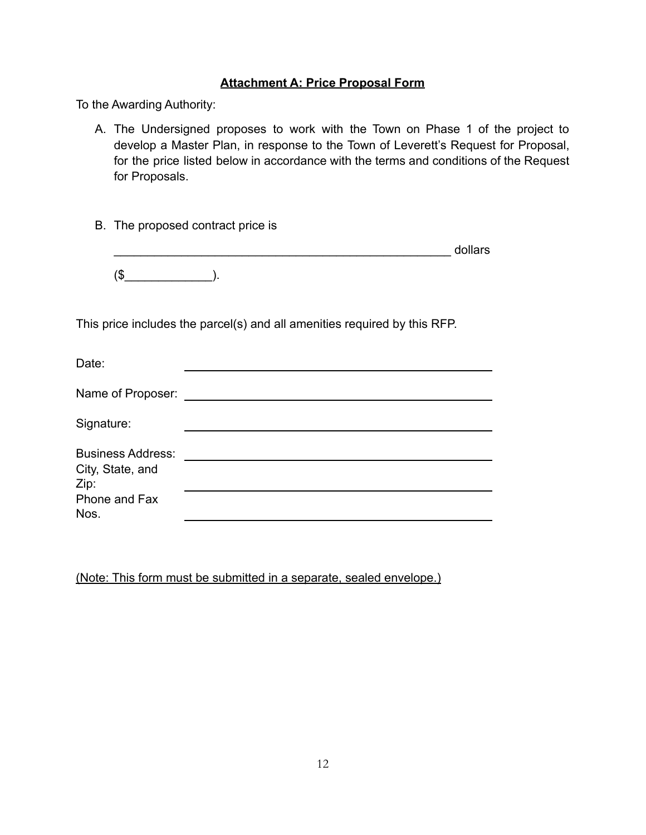#### **Attachment A: Price Proposal Form**

<span id="page-11-0"></span>To the Awarding Authority:

- A. The Undersigned proposes to work with the Town on Phase 1 of the project to develop a Master Plan, in response to the Town of Leverett's Request for Proposal, for the price listed below in accordance with the terms and conditions of the Request for Proposals.
- B. The proposed contract price is

|    | dollars |
|----|---------|
| A. |         |

This price includes the parcel(s) and all amenities required by this RFP.

| Date:                                                                         |  |
|-------------------------------------------------------------------------------|--|
| Name of Proposer:                                                             |  |
| Signature:                                                                    |  |
| <b>Business Address:</b><br>City, State, and<br>Zip:<br>Phone and Fax<br>Nos. |  |

(Note: This form must be submitted in a separate, sealed envelope.)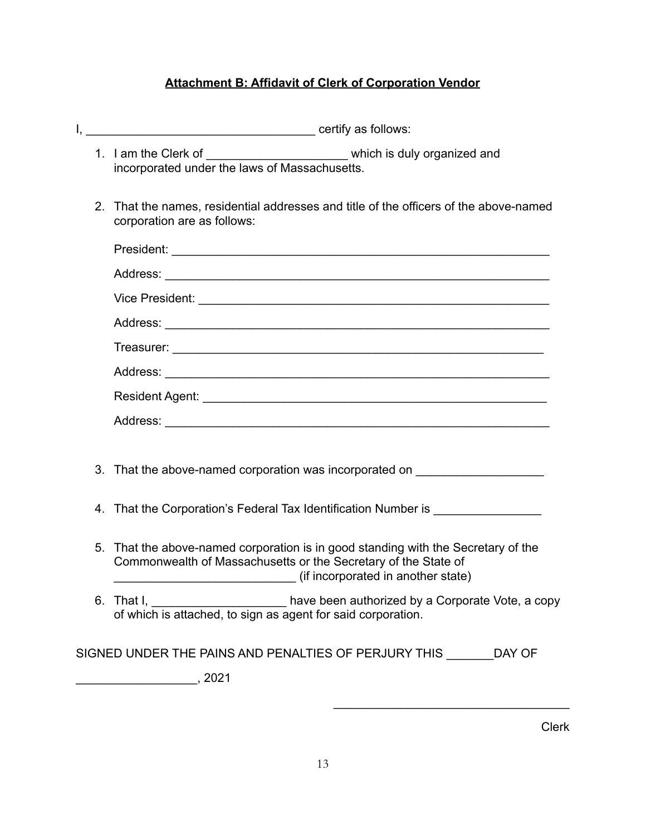# **Attachment B: Affidavit of Clerk of Corporation Vendor**

<span id="page-12-0"></span>

|  |    | 1. I am the Clerk of _______<br>which is duly organized and<br>incorporated under the laws of Massachusetts.                                                                                                              |  |  |
|--|----|---------------------------------------------------------------------------------------------------------------------------------------------------------------------------------------------------------------------------|--|--|
|  |    | 2. That the names, residential addresses and title of the officers of the above-named<br>corporation are as follows:                                                                                                      |  |  |
|  |    |                                                                                                                                                                                                                           |  |  |
|  |    |                                                                                                                                                                                                                           |  |  |
|  |    |                                                                                                                                                                                                                           |  |  |
|  |    |                                                                                                                                                                                                                           |  |  |
|  |    |                                                                                                                                                                                                                           |  |  |
|  |    |                                                                                                                                                                                                                           |  |  |
|  |    |                                                                                                                                                                                                                           |  |  |
|  |    |                                                                                                                                                                                                                           |  |  |
|  |    |                                                                                                                                                                                                                           |  |  |
|  |    | 3. That the above-named corporation was incorporated on ________________________                                                                                                                                          |  |  |
|  |    | 4. That the Corporation's Federal Tax Identification Number is _________________                                                                                                                                          |  |  |
|  | 5. | That the above-named corporation is in good standing with the Secretary of the<br>Commonwealth of Massachusetts or the Secretary of the State of<br>(if incorporated in another state) (if incorporated in another state) |  |  |
|  |    | 6. That I, _________________________ have been authorized by a Corporate Vote, a copy of which is attached, to sign as agent for said corporation.                                                                        |  |  |
|  |    | SIGNED UNDER THE PAINS AND PENALTIES OF PERJURY THIS _______ DAY OF                                                                                                                                                       |  |  |
|  |    |                                                                                                                                                                                                                           |  |  |

Clerk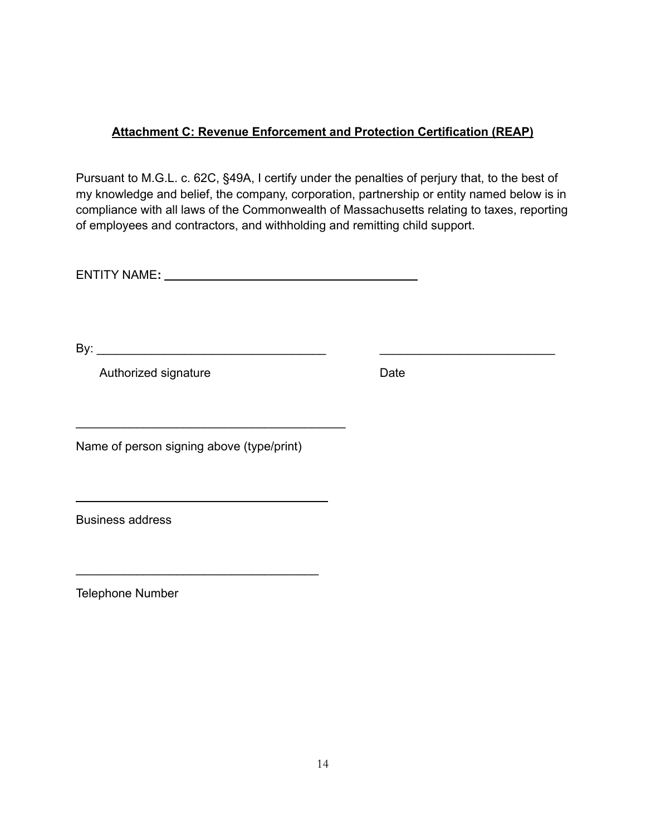# <span id="page-13-0"></span>**Attachment C: Revenue Enforcement and Protection Certification (REAP)**

Pursuant to M.G.L. c. 62C, §49A, I certify under the penalties of perjury that, to the best of my knowledge and belief, the company, corporation, partnership or entity named below is in compliance with all laws of the Commonwealth of Massachusetts relating to taxes, reporting of employees and contractors, and withholding and remitting child support.

ENTITY NAME**:**

By: \_\_\_\_\_\_\_\_\_\_\_\_\_\_\_\_\_\_\_\_\_\_\_\_\_\_\_\_\_\_\_\_\_\_ \_\_\_\_\_\_\_\_\_\_\_\_\_\_\_\_\_\_\_\_\_\_\_\_\_\_

Authorized signature Date

Name of person signing above (type/print)

\_\_\_\_\_\_\_\_\_\_\_\_\_\_\_\_\_\_\_\_\_\_\_\_\_\_\_\_\_\_\_\_\_\_\_\_

\_\_\_\_\_\_\_\_\_\_\_\_\_\_\_\_\_\_\_\_\_\_\_\_\_\_\_\_\_\_\_\_\_\_\_\_\_\_\_\_

Business address

Telephone Number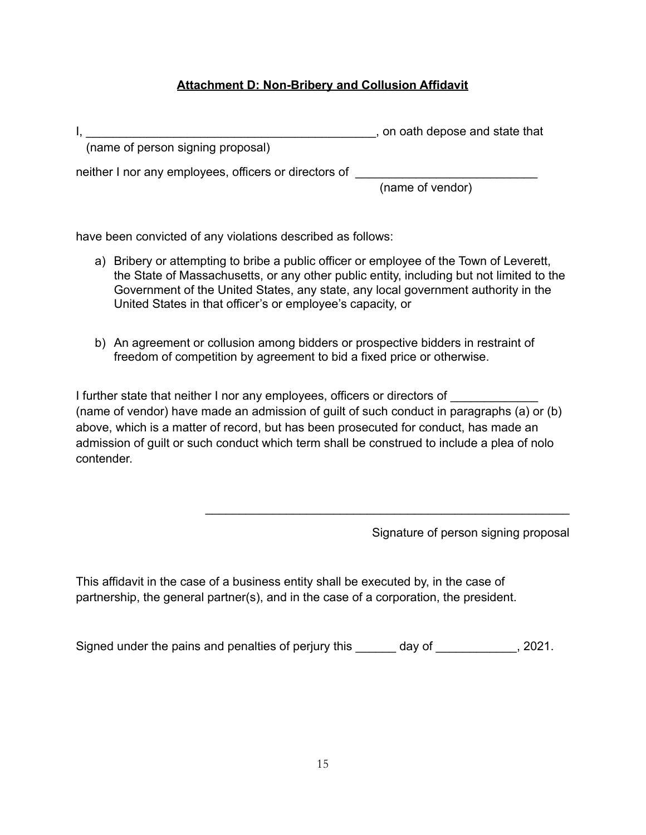# **Attachment D: Non-Bribery and Collusion Affidavit**

<span id="page-14-0"></span>

|                                                       | , on oath depose and state that |
|-------------------------------------------------------|---------------------------------|
| (name of person signing proposal)                     |                                 |
| realized new cause opening a chiese casting the store |                                 |

neither I nor any employees, officers or directors of \_\_\_\_\_\_\_\_\_\_\_\_\_\_\_\_\_\_\_\_\_\_\_\_\_\_

(name of vendor)

have been convicted of any violations described as follows:

- a) Bribery or attempting to bribe a public officer or employee of the Town of Leverett, the State of Massachusetts, or any other public entity, including but not limited to the Government of the United States, any state, any local government authority in the United States in that officer's or employee's capacity, or
- b) An agreement or collusion among bidders or prospective bidders in restraint of freedom of competition by agreement to bid a fixed price or otherwise.

I further state that neither I nor any employees, officers or directors of \_\_\_\_\_\_ (name of vendor) have made an admission of guilt of such conduct in paragraphs (a) or (b) above, which is a matter of record, but has been prosecuted for conduct, has made an admission of guilt or such conduct which term shall be construed to include a plea of nolo contender.

\_\_\_\_\_\_\_\_\_\_\_\_\_\_\_\_\_\_\_\_\_\_\_\_\_\_\_\_\_\_\_\_\_\_\_\_\_\_\_\_\_\_\_\_\_\_\_\_\_\_\_\_\_\_

Signature of person signing proposal

This affidavit in the case of a business entity shall be executed by, in the case of partnership, the general partner(s), and in the case of a corporation, the president.

Signed under the pains and penalties of perjury this \_\_\_\_\_\_ day of \_\_\_\_\_\_\_\_\_\_\_, 2021.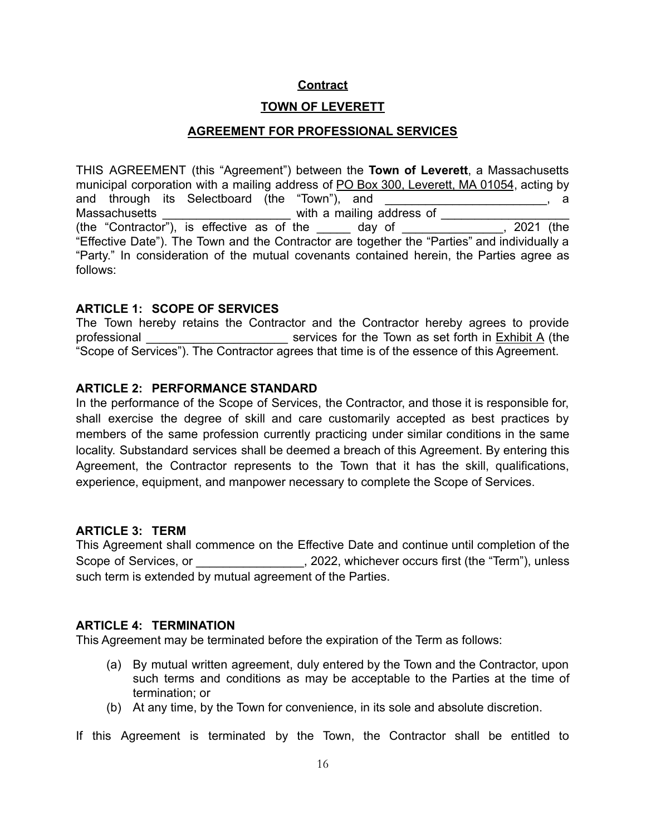## **Contract**

# **TOWN OF LEVERETT**

## **AGREEMENT FOR PROFESSIONAL SERVICES**

<span id="page-15-0"></span>THIS AGREEMENT (this "Agreement") between the **Town of Leverett**, a Massachusetts municipal corporation with a mailing address of PO Box 300, Leverett, MA 01054, acting by and through its Selectboard (the "Town"), and \_\_\_\_\_\_\_\_\_\_\_\_\_\_\_\_\_\_\_\_\_\_, a Massachusetts \_\_\_\_\_\_\_\_\_\_\_\_\_\_\_\_\_\_\_ with a mailing address of \_\_\_\_\_\_\_\_\_\_\_\_\_\_\_\_\_\_\_ (the "Contractor"), is effective as of the \_\_\_\_\_ day of \_\_\_\_\_\_\_\_\_\_\_\_\_\_\_, 2021 (the "Effective Date"). The Town and the Contractor are together the "Parties" and individually a "Party." In consideration of the mutual covenants contained herein, the Parties agree as follows:

#### **ARTICLE 1: SCOPE OF SERVICES**

The Town hereby retains the Contractor and the Contractor hereby agrees to provide professional \_\_\_\_\_\_\_\_\_\_\_\_\_\_\_\_\_\_\_\_\_ services for the Town as set forth in Exhibit A (the "Scope of Services"). The Contractor agrees that time is of the essence of this Agreement.

#### **ARTICLE 2: PERFORMANCE STANDARD**

In the performance of the Scope of Services, the Contractor, and those it is responsible for, shall exercise the degree of skill and care customarily accepted as best practices by members of the same profession currently practicing under similar conditions in the same locality. Substandard services shall be deemed a breach of this Agreement. By entering this Agreement, the Contractor represents to the Town that it has the skill, qualifications, experience, equipment, and manpower necessary to complete the Scope of Services.

#### **ARTICLE 3: TERM**

This Agreement shall commence on the Effective Date and continue until completion of the Scope of Services, or \_\_\_\_\_\_\_\_\_\_\_\_\_\_\_\_\_, 2022, whichever occurs first (the "Term"), unless such term is extended by mutual agreement of the Parties.

#### **ARTICLE 4: TERMINATION**

This Agreement may be terminated before the expiration of the Term as follows:

- (a) By mutual written agreement, duly entered by the Town and the Contractor, upon such terms and conditions as may be acceptable to the Parties at the time of termination; or
- (b) At any time, by the Town for convenience, in its sole and absolute discretion.

If this Agreement is terminated by the Town, the Contractor shall be entitled to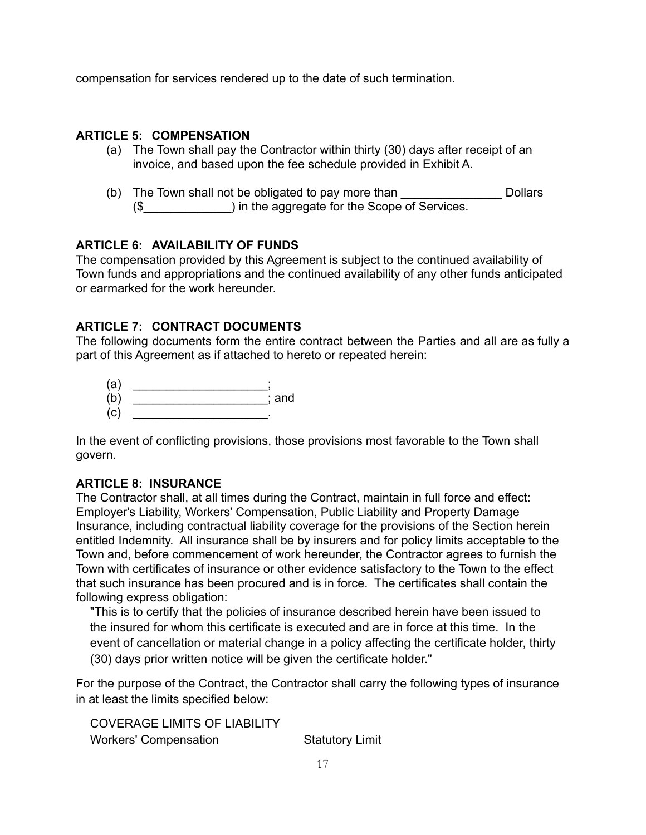compensation for services rendered up to the date of such termination.

#### **ARTICLE 5: COMPENSATION**

- (a) The Town shall pay the Contractor within thirty (30) days after receipt of an invoice, and based upon the fee schedule provided in Exhibit A.
- (b) The Town shall not be obligated to pay more than **DED** Dollars (\$\_\_\_\_\_\_\_\_\_\_\_\_\_) in the aggregate for the Scope of Services.

#### **ARTICLE 6: AVAILABILITY OF FUNDS**

The compensation provided by this Agreement is subject to the continued availability of Town funds and appropriations and the continued availability of any other funds anticipated or earmarked for the work hereunder.

## **ARTICLE 7: CONTRACT DOCUMENTS**

The following documents form the entire contract between the Parties and all are as fully a part of this Agreement as if attached to hereto or repeated herein:

- $\qquad \qquad \text{(a)} \qquad \qquad \qquad \qquad \qquad \vdots$
- (b) \_\_\_\_\_\_\_\_\_\_\_\_\_\_\_\_\_\_\_\_; and
- (c) \_\_\_\_\_\_\_\_\_\_\_\_\_\_\_\_\_\_\_\_.

In the event of conflicting provisions, those provisions most favorable to the Town shall govern.

#### **ARTICLE 8: INSURANCE**

The Contractor shall, at all times during the Contract, maintain in full force and effect: Employer's Liability, Workers' Compensation, Public Liability and Property Damage Insurance, including contractual liability coverage for the provisions of the Section herein entitled Indemnity. All insurance shall be by insurers and for policy limits acceptable to the Town and, before commencement of work hereunder, the Contractor agrees to furnish the Town with certificates of insurance or other evidence satisfactory to the Town to the effect that such insurance has been procured and is in force. The certificates shall contain the following express obligation:

"This is to certify that the policies of insurance described herein have been issued to the insured for whom this certificate is executed and are in force at this time. In the event of cancellation or material change in a policy affecting the certificate holder, thirty (30) days prior written notice will be given the certificate holder."

For the purpose of the Contract, the Contractor shall carry the following types of insurance in at least the limits specified below:

COVERAGE LIMITS OF LIABILITY Workers' Compensation **Statutory Limit**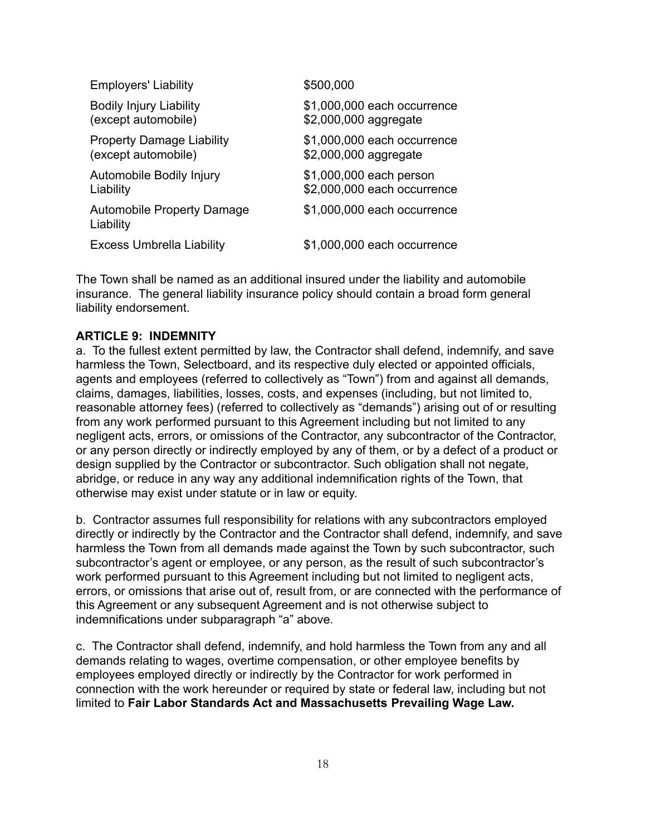| <b>Employers' Liability</b>                    | \$500,000                   |
|------------------------------------------------|-----------------------------|
| <b>Bodily Injury Liability</b>                 | \$1,000,000 each occurrence |
| (except automobile)                            | \$2,000,000 aggregate       |
| <b>Property Damage Liability</b>               | \$1,000,000 each occurrence |
| (except automobile)                            | \$2,000,000 aggregate       |
| Automobile Bodily Injury                       | \$1,000,000 each person     |
| Liability                                      | \$2,000,000 each occurrence |
| <b>Automobile Property Damage</b><br>Liability | \$1,000,000 each occurrence |
| <b>Excess Umbrella Liability</b>               | \$1,000,000 each occurrence |

The Town shall be named as an additional insured under the liability and automobile insurance. The general liability insurance policy should contain a broad form general liability endorsement.

#### **ARTICLE 9: INDEMNITY**

a. To the fullest extent permitted by law, the Contractor shall defend, indemnify, and save harmless the Town, Selectboard, and its respective duly elected or appointed officials, agents and employees (referred to collectively as "Town") from and against all demands, claims, damages, liabilities, losses, costs, and expenses (including, but not limited to, reasonable attorney fees) (referred to collectively as "demands") arising out of or resulting from any work performed pursuant to this Agreement including but not limited to any negligent acts, errors, or omissions of the Contractor, any subcontractor of the Contractor, or any person directly or indirectly employed by any of them, or by a defect of a product or design supplied by the Contractor or subcontractor. Such obligation shall not negate, abridge, or reduce in any way any additional indemnification rights of the Town, that otherwise may exist under statute or in law or equity.

b. Contractor assumes full responsibility for relations with any subcontractors employed directly or indirectly by the Contractor and the Contractor shall defend, indemnify, and save harmless the Town from all demands made against the Town by such subcontractor, such subcontractor's agent or employee, or any person, as the result of such subcontractor's work performed pursuant to this Agreement including but not limited to negligent acts, errors, or omissions that arise out of, result from, or are connected with the performance of this Agreement or any subsequent Agreement and is not otherwise subject to indemnifications under subparagraph "a" above.

c. The Contractor shall defend, indemnify, and hold harmless the Town from any and all demands relating to wages, overtime compensation, or other employee benefits by employees employed directly or indirectly by the Contractor for work performed in connection with the work hereunder or required by state or federal law, including but not limited to **Fair Labor Standards Act and Massachusetts Prevailing Wage Law.**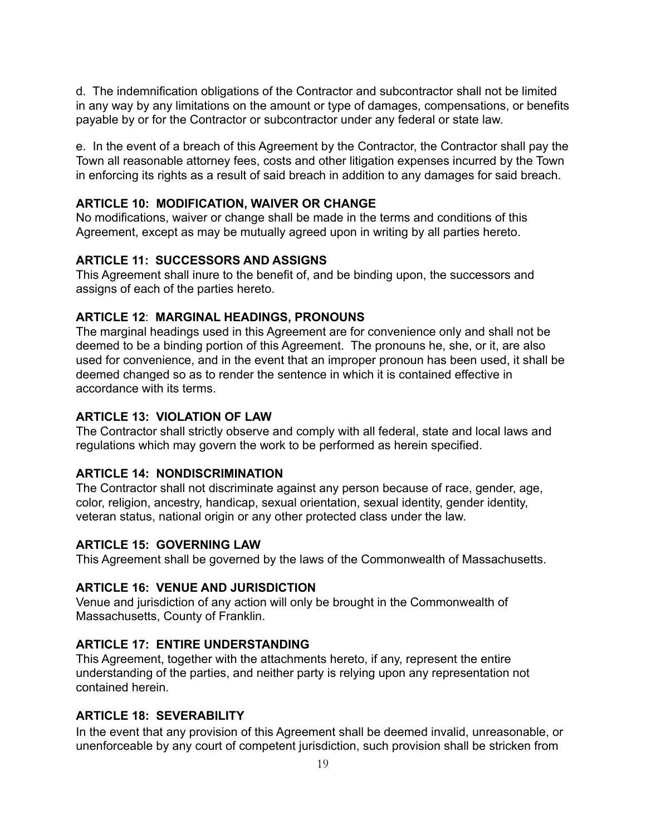d. The indemnification obligations of the Contractor and subcontractor shall not be limited in any way by any limitations on the amount or type of damages, compensations, or benefits payable by or for the Contractor or subcontractor under any federal or state law.

e. In the event of a breach of this Agreement by the Contractor, the Contractor shall pay the Town all reasonable attorney fees, costs and other litigation expenses incurred by the Town in enforcing its rights as a result of said breach in addition to any damages for said breach.

#### **ARTICLE 10: MODIFICATION, WAIVER OR CHANGE**

No modifications, waiver or change shall be made in the terms and conditions of this Agreement, except as may be mutually agreed upon in writing by all parties hereto.

#### **ARTICLE 11: SUCCESSORS AND ASSIGNS**

This Agreement shall inure to the benefit of, and be binding upon, the successors and assigns of each of the parties hereto.

#### **ARTICLE 12**: **MARGINAL HEADINGS, PRONOUNS**

The marginal headings used in this Agreement are for convenience only and shall not be deemed to be a binding portion of this Agreement. The pronouns he, she, or it, are also used for convenience, and in the event that an improper pronoun has been used, it shall be deemed changed so as to render the sentence in which it is contained effective in accordance with its terms.

#### **ARTICLE 13: VIOLATION OF LAW**

The Contractor shall strictly observe and comply with all federal, state and local laws and regulations which may govern the work to be performed as herein specified.

#### **ARTICLE 14: NONDISCRIMINATION**

The Contractor shall not discriminate against any person because of race, gender, age, color, religion, ancestry, handicap, sexual orientation, sexual identity, gender identity, veteran status, national origin or any other protected class under the law.

#### **ARTICLE 15: GOVERNING LAW**

This Agreement shall be governed by the laws of the Commonwealth of Massachusetts.

#### **ARTICLE 16: VENUE AND JURISDICTION**

Venue and jurisdiction of any action will only be brought in the Commonwealth of Massachusetts, County of Franklin.

#### **ARTICLE 17: ENTIRE UNDERSTANDING**

This Agreement, together with the attachments hereto, if any, represent the entire understanding of the parties, and neither party is relying upon any representation not contained herein.

#### **ARTICLE 18: SEVERABILITY**

In the event that any provision of this Agreement shall be deemed invalid, unreasonable, or unenforceable by any court of competent jurisdiction, such provision shall be stricken from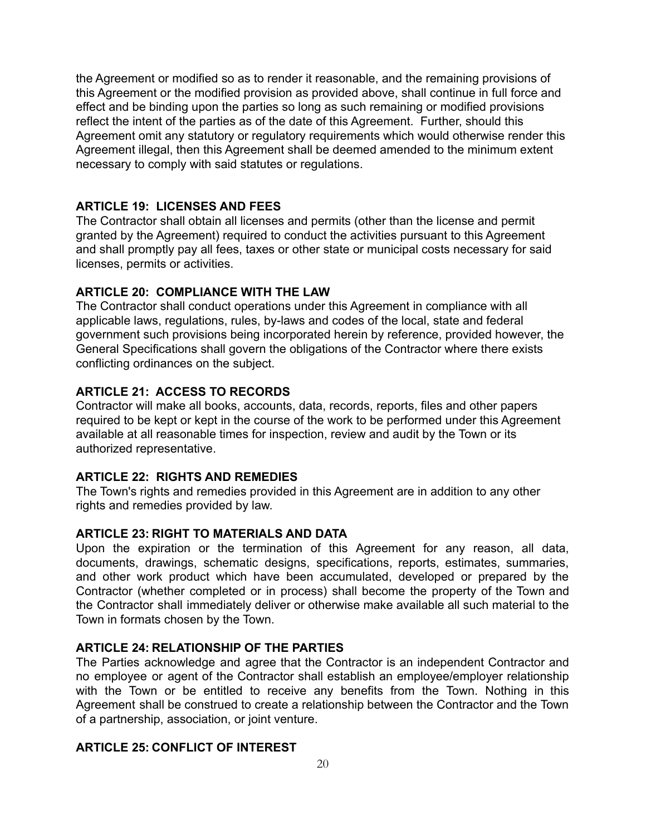the Agreement or modified so as to render it reasonable, and the remaining provisions of this Agreement or the modified provision as provided above, shall continue in full force and effect and be binding upon the parties so long as such remaining or modified provisions reflect the intent of the parties as of the date of this Agreement. Further, should this Agreement omit any statutory or regulatory requirements which would otherwise render this Agreement illegal, then this Agreement shall be deemed amended to the minimum extent necessary to comply with said statutes or regulations.

#### **ARTICLE 19: LICENSES AND FEES**

The Contractor shall obtain all licenses and permits (other than the license and permit granted by the Agreement) required to conduct the activities pursuant to this Agreement and shall promptly pay all fees, taxes or other state or municipal costs necessary for said licenses, permits or activities.

#### **ARTICLE 20: COMPLIANCE WITH THE LAW**

The Contractor shall conduct operations under this Agreement in compliance with all applicable laws, regulations, rules, by-laws and codes of the local, state and federal government such provisions being incorporated herein by reference, provided however, the General Specifications shall govern the obligations of the Contractor where there exists conflicting ordinances on the subject.

#### **ARTICLE 21: ACCESS TO RECORDS**

Contractor will make all books, accounts, data, records, reports, files and other papers required to be kept or kept in the course of the work to be performed under this Agreement available at all reasonable times for inspection, review and audit by the Town or its authorized representative.

#### **ARTICLE 22: RIGHTS AND REMEDIES**

The Town's rights and remedies provided in this Agreement are in addition to any other rights and remedies provided by law.

#### **ARTICLE 23: RIGHT TO MATERIALS AND DATA**

Upon the expiration or the termination of this Agreement for any reason, all data, documents, drawings, schematic designs, specifications, reports, estimates, summaries, and other work product which have been accumulated, developed or prepared by the Contractor (whether completed or in process) shall become the property of the Town and the Contractor shall immediately deliver or otherwise make available all such material to the Town in formats chosen by the Town.

#### **ARTICLE 24: RELATIONSHIP OF THE PARTIES**

The Parties acknowledge and agree that the Contractor is an independent Contractor and no employee or agent of the Contractor shall establish an employee/employer relationship with the Town or be entitled to receive any benefits from the Town. Nothing in this Agreement shall be construed to create a relationship between the Contractor and the Town of a partnership, association, or joint venture.

#### **ARTICLE 25: CONFLICT OF INTEREST**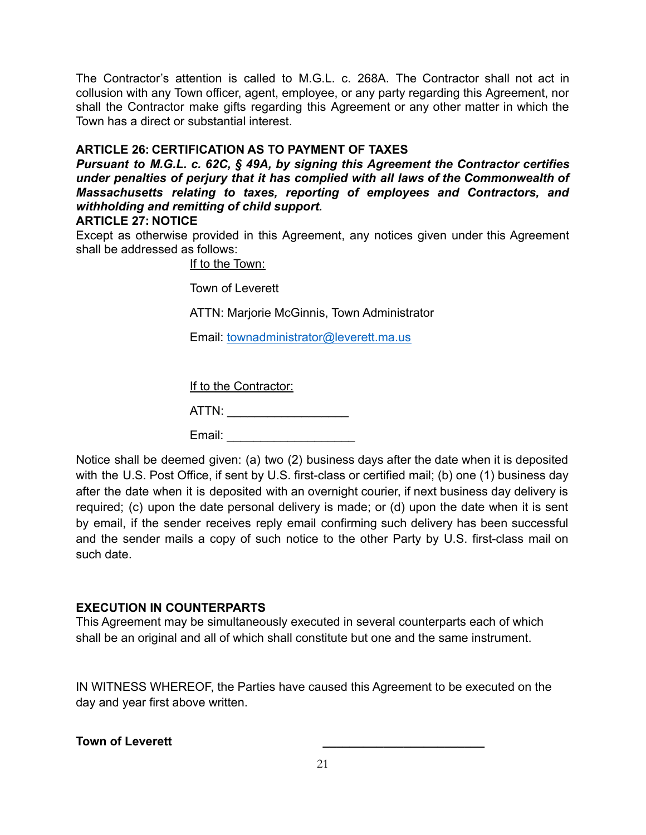The Contractor's attention is called to M.G.L. c. 268A. The Contractor shall not act in collusion with any Town officer, agent, employee, or any party regarding this Agreement, nor shall the Contractor make gifts regarding this Agreement or any other matter in which the Town has a direct or substantial interest.

#### **ARTICLE 26: CERTIFICATION AS TO PAYMENT OF TAXES**

*Pursuant to M.G.L. c. 62C, § 49A, by signing this Agreement the Contractor certifies under penalties of perjury that it has complied with all laws of the Commonwealth of Massachusetts relating to taxes, reporting of employees and Contractors, and withholding and remitting of child support.*

## **ARTICLE 27: NOTICE**

Except as otherwise provided in this Agreement, any notices given under this Agreement shall be addressed as follows:

If to the Town:

Town of Leverett

ATTN: Marjorie McGinnis, Town Administrator

Email: [townadministrator@leverett.ma.us](http://townadministrator@leverett.ma.us)

If to the Contractor:

ATTN: \_\_\_\_\_\_\_\_\_\_\_\_\_\_\_\_\_\_

Email: \_\_\_\_\_\_\_\_\_\_\_\_\_\_\_\_\_\_\_

Notice shall be deemed given: (a) two (2) business days after the date when it is deposited with the U.S. Post Office, if sent by U.S. first-class or certified mail; (b) one (1) business day after the date when it is deposited with an overnight courier, if next business day delivery is required; (c) upon the date personal delivery is made; or (d) upon the date when it is sent by email, if the sender receives reply email confirming such delivery has been successful and the sender mails a copy of such notice to the other Party by U.S. first-class mail on such date.

#### **EXECUTION IN COUNTERPARTS**

This Agreement may be simultaneously executed in several counterparts each of which shall be an original and all of which shall constitute but one and the same instrument.

IN WITNESS WHEREOF, the Parties have caused this Agreement to be executed on the day and year first above written.

#### **Town of Leverett \_\_\_\_\_\_\_\_\_\_\_\_\_\_\_\_\_\_\_\_\_\_\_\_**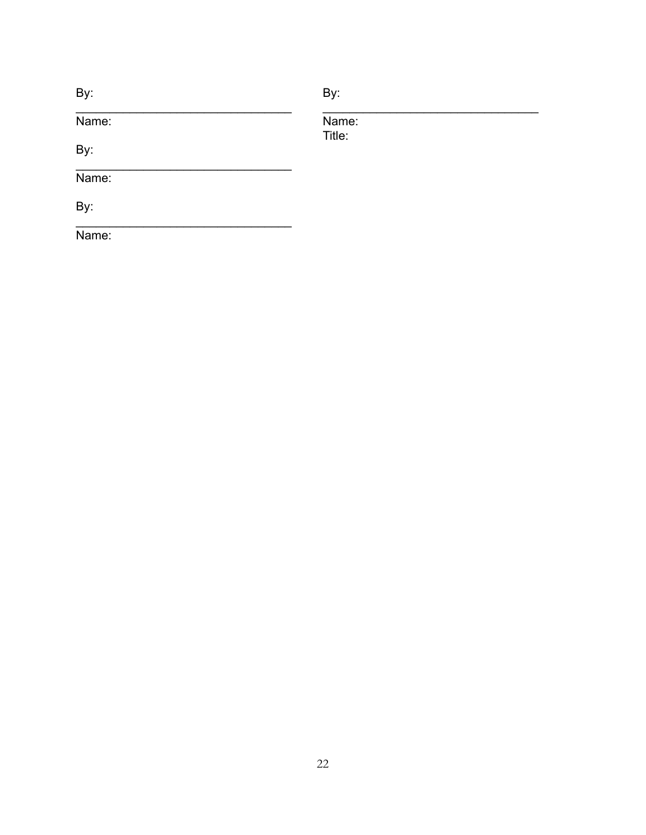| By:   | By:             |  |
|-------|-----------------|--|
| Name: | Name:<br>Title: |  |
| By:   |                 |  |
| Name: |                 |  |
| By:   |                 |  |
| Name: |                 |  |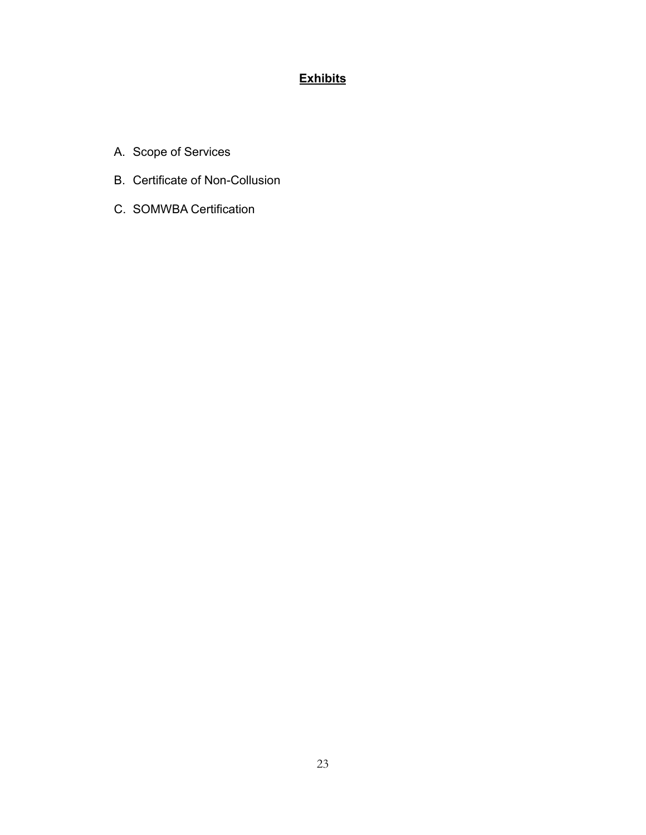# **Exhibits**

- A. Scope of Services
- B. Certificate of Non-Collusion
- C. SOMWBA Certification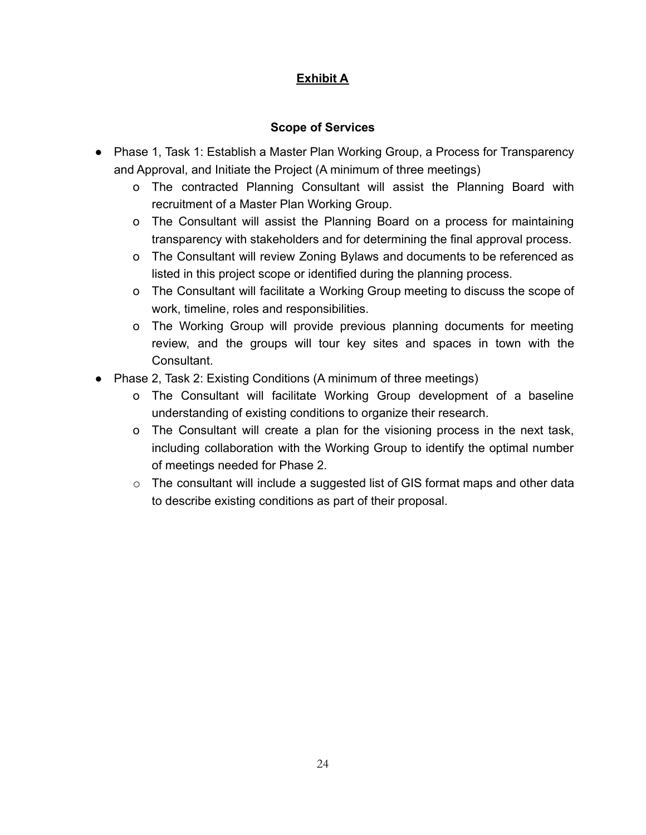# **Exhibit A**

# **Scope of Services**

- Phase 1, Task 1: Establish a Master Plan Working Group, a Process for Transparency and Approval, and Initiate the Project (A minimum of three meetings)
	- o The contracted Planning Consultant will assist the Planning Board with recruitment of a Master Plan Working Group.
	- o The Consultant will assist the Planning Board on a process for maintaining transparency with stakeholders and for determining the final approval process.
	- o The Consultant will review Zoning Bylaws and documents to be referenced as listed in this project scope or identified during the planning process.
	- o The Consultant will facilitate a Working Group meeting to discuss the scope of work, timeline, roles and responsibilities.
	- o The Working Group will provide previous planning documents for meeting review, and the groups will tour key sites and spaces in town with the Consultant.
- Phase 2, Task 2: Existing Conditions (A minimum of three meetings)
	- o The Consultant will facilitate Working Group development of a baseline understanding of existing conditions to organize their research.
	- o The Consultant will create a plan for the visioning process in the next task, including collaboration with the Working Group to identify the optimal number of meetings needed for Phase 2.
	- $\circ$  The consultant will include a suggested list of GIS format maps and other data to describe existing conditions as part of their proposal.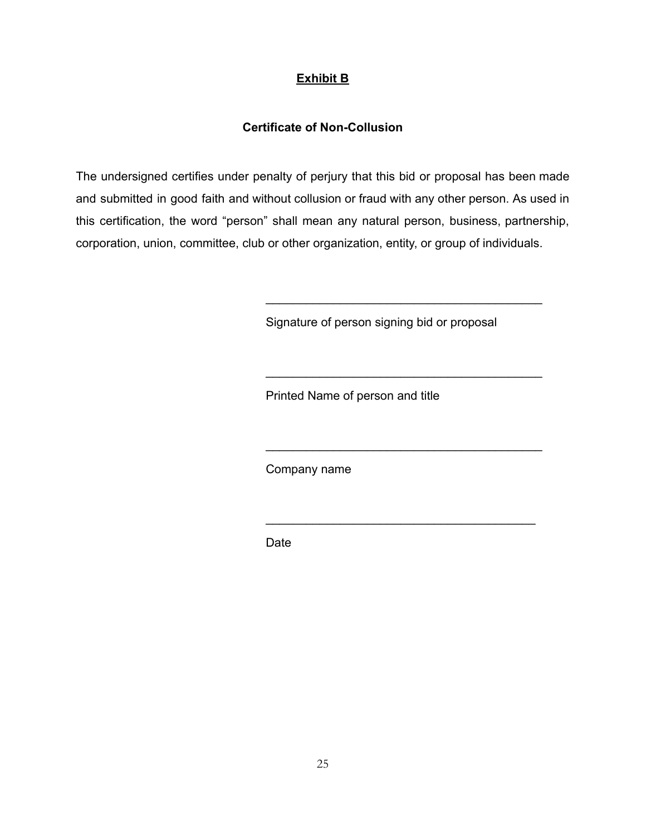# **Exhibit B**

## **Certificate of Non-Collusion**

The undersigned certifies under penalty of perjury that this bid or proposal has been made and submitted in good faith and without collusion or fraud with any other person. As used in this certification, the word "person" shall mean any natural person, business, partnership, corporation, union, committee, club or other organization, entity, or group of individuals.

Signature of person signing bid or proposal

\_\_\_\_\_\_\_\_\_\_\_\_\_\_\_\_\_\_\_\_\_\_\_\_\_\_\_\_\_\_\_\_\_\_\_\_\_\_\_\_\_

\_\_\_\_\_\_\_\_\_\_\_\_\_\_\_\_\_\_\_\_\_\_\_\_\_\_\_\_\_\_\_\_\_\_\_\_\_\_\_\_\_

\_\_\_\_\_\_\_\_\_\_\_\_\_\_\_\_\_\_\_\_\_\_\_\_\_\_\_\_\_\_\_\_\_\_\_\_\_\_\_\_\_

\_\_\_\_\_\_\_\_\_\_\_\_\_\_\_\_\_\_\_\_\_\_\_\_\_\_\_\_\_\_\_\_\_\_\_\_\_\_\_\_

Printed Name of person and title

Company name

Date